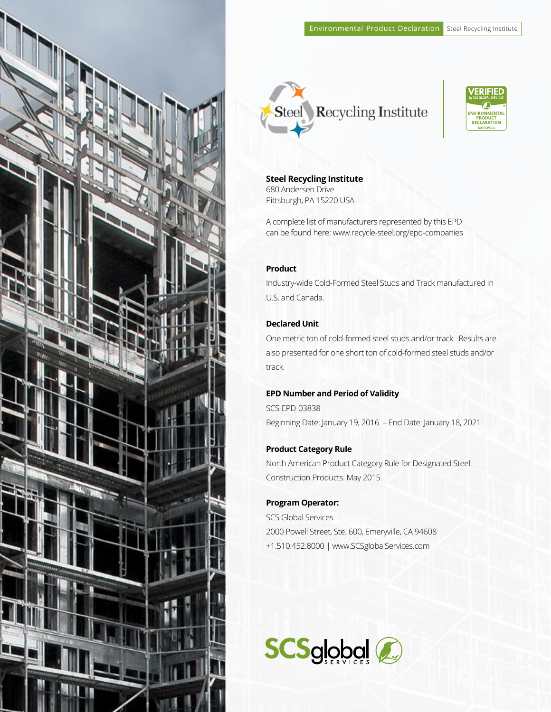





**Steel Recycling Institute**  680 Andersen Drive

Pittsburgh, PA 15220 USA

A complete list of manufacturers represented by this EPD can be found here: www.recycle-steel.org/epd-companies

## **Product**

Industry-wide Cold-Formed Steel Studs and Track manufactured in U.S. and Canada.

## **Declared Unit**

One metric ton of cold-formed steel studs and/or track. Results are also presented for one short ton of cold-formed steel studs and/or track.

## **EPD Number and Period of Validity**

SCS-EPD-03838 Beginning Date: January 19, 2016 – End Date: January 18, 2021

## **Product Category Rule**

North American Product Category Rule for Designated Steel Construction Products. May 2015.

## **Program Operator:**

SCS Global Services 2000 Powell Street, Ste. 600, Emeryville, CA 94608 +1.510.452.8000 | www.SCSglobalServices.com

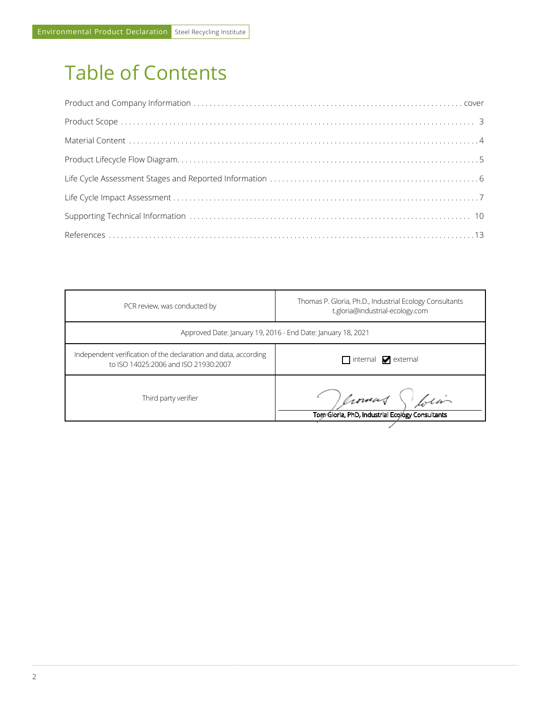# Table of Contents

| PCR review, was conducted by                                                                            | Thomas P. Gloria, Ph.D., Industrial Ecology Consultants<br>t.gloria@industrial-ecology.com |
|---------------------------------------------------------------------------------------------------------|--------------------------------------------------------------------------------------------|
| Approved Date: January 19, 2016 - End Date: January 18, 2021                                            |                                                                                            |
| Independent verification of the declaration and data, according<br>to ISO 14025:2006 and ISO 21930:2007 | $\Box$ internal $\Box$ external                                                            |
| Third party verifier                                                                                    | Crowned bin<br>Tom Gloria, PhD, Industrial Ecology Consultants                             |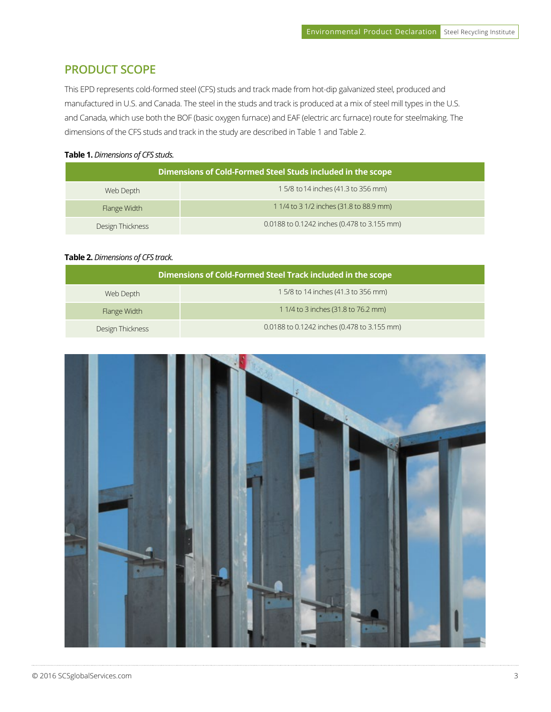# **PRODUCT SCOPE**

This EPD represents cold-formed steel (CFS) studs and track made from hot-dip galvanized steel, produced and manufactured in U.S. and Canada. The steel in the studs and track is produced at a mix of steel mill types in the U.S. and Canada, which use both the BOF (basic oxygen furnace) and EAF (electric arc furnace) route for steelmaking. The dimensions of the CFS studs and track in the study are described in Table 1 and Table 2.

#### **Table 1.** *Dimensions of CFS studs.*

|                  | Dimensions of Cold-Formed Steel Studs included in the scope |
|------------------|-------------------------------------------------------------|
| Web Depth        | 1 5/8 to 14 inches (41.3 to 356 mm)                         |
| Flange Width     | 1 1/4 to 3 1/2 inches (31.8 to 88.9 mm)                     |
| Design Thickness | 0.0188 to 0.1242 inches (0.478 to 3.155 mm)                 |

## **Table 2.** *Dimensions of CFS track.*

|                  | Dimensions of Cold-Formed Steel Track included in the scope |
|------------------|-------------------------------------------------------------|
| Web Depth        | 1 5/8 to 14 inches (41.3 to 356 mm)                         |
| Flange Width     | 1 1/4 to 3 inches (31.8 to 76.2 mm)                         |
| Design Thickness | 0.0188 to 0.1242 inches (0.478 to 3.155 mm)                 |

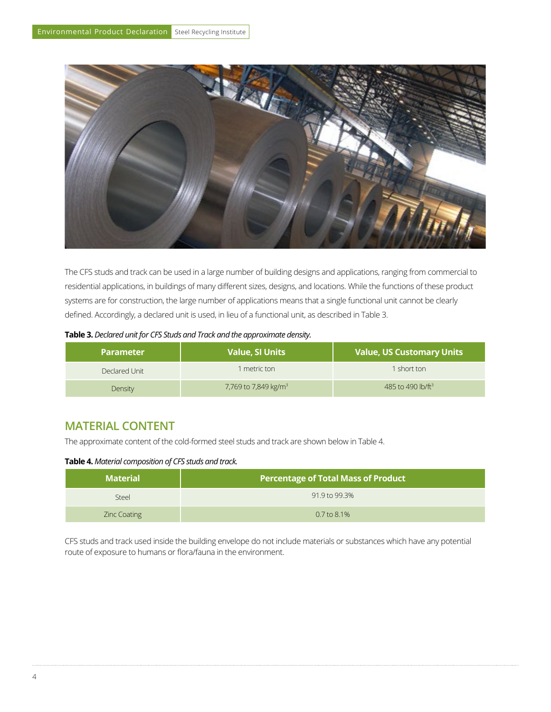

The CFS studs and track can be used in a large number of building designs and applications, ranging from commercial to residential applications, in buildings of many different sizes, designs, and locations. While the functions of these product systems are for construction, the large number of applications means that a single functional unit cannot be clearly defined. Accordingly, a declared unit is used, in lieu of a functional unit, as described in Table 3.

| Table 3. Declared unit for CFS Studs and Track and the approximate density. |  |  |
|-----------------------------------------------------------------------------|--|--|
|-----------------------------------------------------------------------------|--|--|

| <b>Parameter</b> | <b>Value, SI Units</b>           | <b>Value, US Customary Units</b> |
|------------------|----------------------------------|----------------------------------|
| Declared Unit    | metric ton                       | I short ton                      |
| Density          | 7,769 to 7,849 kg/m <sup>3</sup> | 485 to 490 lb/ft <sup>3</sup>    |

# **MATERIAL CONTENT**

The approximate content of the cold-formed steel studs and track are shown below in Table 4.

**Table 4.** *Material composition of CFS studs and track.*

| <b>Material</b>     | Percentage of Total Mass of Product |
|---------------------|-------------------------------------|
| Steel               | 91.9 to 99.3%                       |
| <b>Zinc Coating</b> | $0.7$ to $8.1\%$                    |

CFS studs and track used inside the building envelope do not include materials or substances which have any potential route of exposure to humans or flora/fauna in the environment.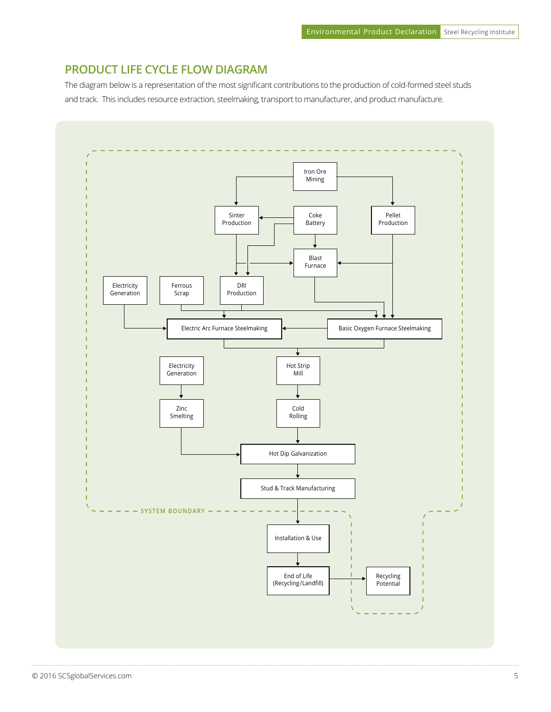## **PRODUCT LIFE CYCLE FLOW DIAGRAM**

The diagram below is a representation of the most significant contributions to the production of cold-formed steel studs and track. This includes resource extraction, steelmaking, transport to manufacturer, and product manufacture.

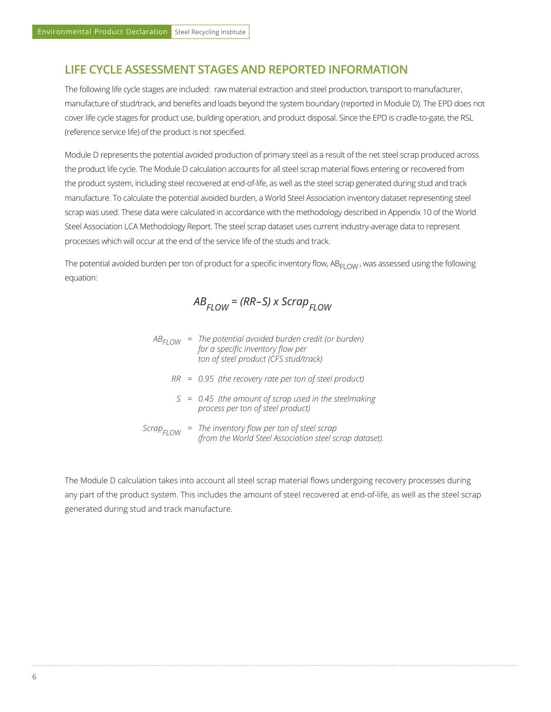# **LIFE CYCLE ASSESSMENT STAGES AND REPORTED INFORMATION**

The following life cycle stages are included: raw material extraction and steel production, transport to manufacturer, manufacture of stud/track, and benefits and loads beyond the system boundary (reported in Module D). The EPD does not cover life cycle stages for product use, building operation, and product disposal. Since the EPD is cradle-to-gate, the RSL (reference service life) of the product is not specified.

Module D represents the potential avoided production of primary steel as a result of the net steel scrap produced across the product life cycle. The Module D calculation accounts for all steel scrap material flows entering or recovered from the product system, including steel recovered at end-of-life, as well as the steel scrap generated during stud and track manufacture. To calculate the potential avoided burden, a World Steel Association inventory dataset representing steel scrap was used. These data were calculated in accordance with the methodology described in Appendix 10 of the World Steel Association LCA Methodology Report. The steel scrap dataset uses current industry-average data to represent processes which will occur at the end of the service life of the studs and track.

The potential avoided burden per ton of product for a specific inventory flow,  $AB_{EI|OW}$ , was assessed using the following equation:

 $AB_{ELOM}$  *= (RR-S) x Scrap<sub>ELOW</sub>* 

|  | $AB_{F1}$ ow = The potential avoided burden credit (or burden) |
|--|----------------------------------------------------------------|
|  | for a specific inventory flow per                              |
|  | ton of steel product (CFS stud/track)                          |
|  |                                                                |

- *0.95 (the recovery rate per ton of steel product) RR =*
- *0.45 (the amount of scrap used in the steelmaking S = process per ton of steel product)*
- *The inventory flow per ton of steel scrap (from the World Steel Association steel scrap*  $f($  *<i>(from the World Steel Association steel scrap dataset).*

The Module D calculation takes into account all steel scrap material flows undergoing recovery processes during any part of the product system. This includes the amount of steel recovered at end-of-life, as well as the steel scrap generated during stud and track manufacture.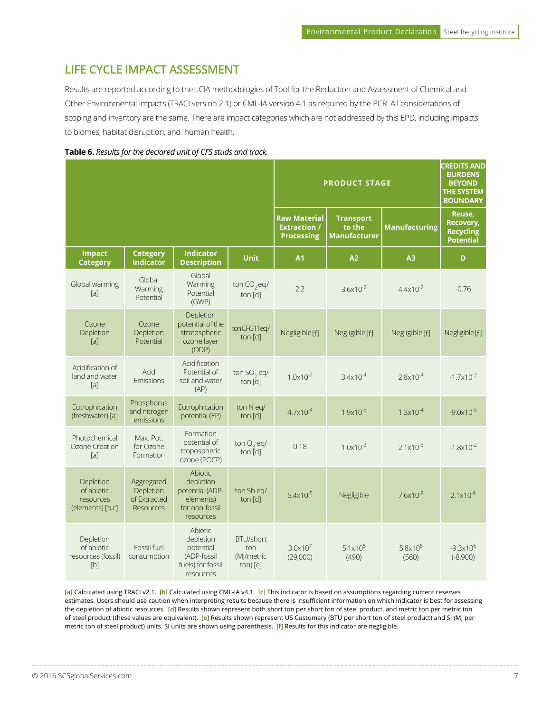# **LIFE CYCLE IMPACT ASSESSMENT**

Results are reported according to the LCIA methodologies of Tool for the Reduction and Assessment of Chemical and Other Environmental Impacts (TRACI version 2.1) or CML-IA version 4.1 as required by the PCR. All considerations of scoping and inventory are the same. There are impact categories which are not addressed by this EPD, including impacts to biomes, habitat disruption, and human health.



|                                                          |                                                             |                                                                                            |                                                   |                                                                 | <b>PRODUCT STAGE</b>                              |                            | <b>CREDITS AND</b><br><b>BURDENS</b><br><b>BEYOND</b><br><b>THE SYSTEM</b><br><b>BOUNDARY</b> |
|----------------------------------------------------------|-------------------------------------------------------------|--------------------------------------------------------------------------------------------|---------------------------------------------------|-----------------------------------------------------------------|---------------------------------------------------|----------------------------|-----------------------------------------------------------------------------------------------|
|                                                          |                                                             |                                                                                            |                                                   | <b>Raw Material</b><br><b>Extraction /</b><br><b>Processing</b> | <b>Transport</b><br>to the<br><b>Manufacturer</b> | <b>Manufacturing</b>       | Reuse,<br>Recovery,<br><b>Recycling</b><br><b>Potential</b>                                   |
| <b>Impact</b><br><b>Category</b>                         | <b>Category</b><br><b>Indicator</b>                         | <b>Indicator</b><br><b>Description</b>                                                     | <b>Unit</b>                                       | A1                                                              | A2                                                | A <sub>3</sub>             | D                                                                                             |
| Global warming<br>[a]                                    | Global<br>Warming<br>Potential                              | Global<br>Warming<br>Potential<br>(GWP)                                                    | ton $CO_2$ eq/<br>ton [d]                         | 2.2                                                             | $3.6x10^{-2}$                                     | $4.4x10^{-2}$              | $-0.76$                                                                                       |
| Ozone<br>Depletion<br>[a]                                | Ozone<br>Depletion<br>Potential                             | Depletion<br>potential of the<br>stratospheric<br>ozone layer<br>(ODP)                     | tonCFC-11eq/<br>ton [d]                           | Negligible [f]                                                  | Negligible [f]                                    | Negligible [f]             | Negligible [f]                                                                                |
| Acidification of<br>land and water<br>$[a]$              | Acid<br>Emissions                                           | Acidification<br>Potential of<br>soil and water<br>(AP)                                    | ton SO <sub>2</sub> eq/<br>ton [d]                | $1.0 \times 10^{-2}$                                            | $3.4x10^{-4}$                                     | $2.8 \times 10^{-4}$       | $-1.7 \times 10^{-3}$                                                                         |
| Eutrophication<br>(freshwater) [a]                       | Phosphorus<br>and nitrogen<br>emissions                     | Eutrophication<br>potential (EP)                                                           | ton N eq/<br>ton [d]                              | $4.7 \times 10^{-4}$                                            | $1.9x10^{-5}$                                     | $1.3x10^{-4}$              | $-9.0x10^{-5}$                                                                                |
| Photochemical<br>Ozone Creation<br>[a]                   | Max. Pot.<br>for Ozone<br>Formation                         | Formation<br>potential of<br>tropospheric<br>ozone (POCP)                                  | ton $O2$ eq/<br>ton $[d]$                         | 0.18                                                            | $1.0 \times 10^{-2}$                              | $2.1 \times 10^{-3}$       | $-1.8 \times 10^{-2}$                                                                         |
| Depletion<br>of abiotic<br>resources<br>(elements) [b,c] | Aggregated<br>Depletion<br>of Extracted<br><b>Resources</b> | <b>Abiotic</b><br>depletion<br>potential (ADP-<br>elements)<br>for non-fossil<br>resources | ton Sb eq/<br>ton $[d]$                           | $5.4x10^{-5}$                                                   | Negligible                                        | $7.6x10^{-8}$              | $2.1 \times 10^{-9}$                                                                          |
| Depletion<br>of abiotic<br>resources (fossil)<br>[b]     | Fossil fuel<br>consumption                                  | Abiotic<br>depletion<br>potential<br>(ADP-fossil<br>fuels) for fossil<br>resources         | <b>BTU/short</b><br>ton<br>(MJ/metric<br>ton) [e] | $3.0 \times 10^{7}$<br>(29,000)                                 | 5.1 $\times$ 10 <sup>5</sup><br>(490)             | $5.8 \times 10^5$<br>(560) | $-9.3 \times 10^{6}$<br>$(-8,900)$                                                            |

**[a]** Calculated using TRACI v2.1. **[b]** Calculated using CML-IA v4.1. **[c]** This indicator is based on assumptions regarding current reserves estimates. Users should use caution when interpreting results because there is insufficient information on which indicator is best for assessing the depletion of abiotic resources. **[d]** Results shown represent both short ton per short ton of steel product, and metric ton per metric ton of steel product (these values are equivalent). **[e]** Results shown represent US Customary (BTU per short ton of steel product) and SI (MJ per metric ton of steel product) units. SI units are shown using parenthesis. **[f]** Results for this indicator are negligible.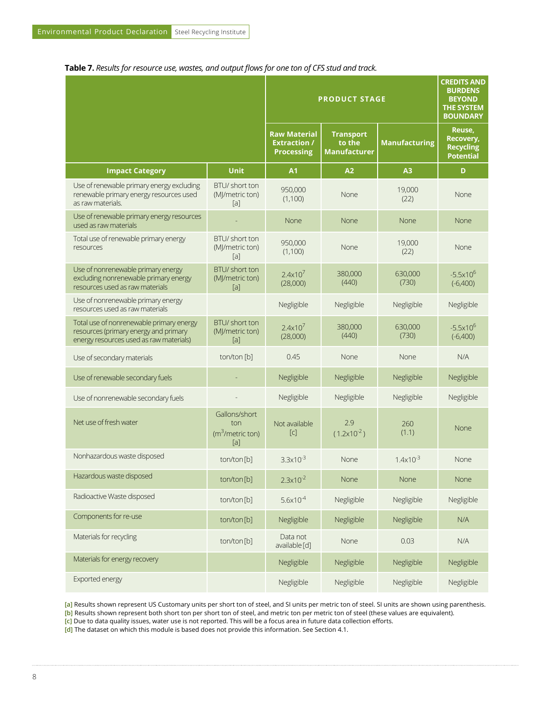#### **Table 7.** *Results for resource use, wastes, and output flows for one ton of CFS stud and track.*

|                                                                                                                              |                                                  |                                                                 | <b>PRODUCT STAGE</b>                              |                      | <b>CREDITS AND</b><br><b>BURDENS</b><br><b>BEYOND</b><br><b>THE SYSTEM</b><br><b>BOUNDARY</b> |
|------------------------------------------------------------------------------------------------------------------------------|--------------------------------------------------|-----------------------------------------------------------------|---------------------------------------------------|----------------------|-----------------------------------------------------------------------------------------------|
|                                                                                                                              |                                                  | <b>Raw Material</b><br><b>Extraction /</b><br><b>Processing</b> | <b>Transport</b><br>to the<br><b>Manufacturer</b> | <b>Manufacturing</b> | Reuse,<br><b>Recovery,</b><br><b>Recycling</b><br><b>Potential</b>                            |
| <b>Impact Category</b>                                                                                                       | <b>Unit</b>                                      | <b>A1</b>                                                       | A <sub>2</sub>                                    | A3                   | D                                                                                             |
| Use of renewable primary energy excluding<br>renewable primary energy resources used<br>as raw materials.                    | BTU/ short ton<br>(MJ/metric ton)<br>[a]         | 950,000<br>(1,100)                                              | None                                              | 19,000<br>(22)       | None                                                                                          |
| Use of renewable primary energy resources<br>used as raw materials                                                           |                                                  | None                                                            | None                                              | <b>None</b>          | None                                                                                          |
| Total use of renewable primary energy<br>resources                                                                           | BTU/ short ton<br>(MJ/metric ton)<br>[a]         | 950,000<br>(1,100)                                              | None                                              | 19,000<br>(22)       | None                                                                                          |
| Use of nonrenewable primary energy<br>excluding nonrenewable primary energy<br>resources used as raw materials               | BTU/ short ton<br>(MJ/metric ton)<br>[a]         | 2.4x10 <sup>7</sup><br>(28,000)                                 | 380,000<br>(440)                                  | 630,000<br>(730)     | $-5.5x10^{6}$<br>$(-6,400)$                                                                   |
| Use of nonrenewable primary energy<br>resources used as raw materials                                                        |                                                  | Negligible                                                      | Negligible                                        | Negligible           | Negligible                                                                                    |
| Total use of nonrenewable primary energy<br>resources (primary energy and primary<br>energy resources used as raw materials) | BTU/ short ton<br>(MJ/metric ton)<br>[a]         | 2.4x10 <sup>7</sup><br>(28,000)                                 | 380,000<br>(440)                                  | 630,000<br>(730)     | $-5.5x10^6$<br>$(-6,400)$                                                                     |
| Use of secondary materials                                                                                                   | ton/ton [b]                                      | 0.45                                                            | None                                              | None                 | N/A                                                                                           |
| Use of renewable secondary fuels                                                                                             |                                                  | Negligible                                                      | Negligible                                        | Negligible           | Negligible                                                                                    |
| Use of nonrenewable secondary fuels                                                                                          |                                                  | Negligible                                                      | Negligible                                        | Negligible           | Negligible                                                                                    |
| Net use of fresh water                                                                                                       | Gallons/short<br>ton<br>$(m3/metric$ ton)<br>[a] | Not available<br>$\lceil c \rceil$                              | 2.9<br>$(1.2x10^{-2})$                            | 260<br>(1.1)         | None                                                                                          |
| Nonhazardous waste disposed                                                                                                  | ton/ton[b]                                       | $3.3 \times 10^{-3}$                                            | None                                              | $1.4x10^{-3}$        | None                                                                                          |
| Hazardous waste disposed                                                                                                     | ton/ton[b]                                       | $2.3 \times 10^{-2}$                                            | None                                              | None                 | None                                                                                          |
| Radioactive Waste disposed                                                                                                   | ton/ton[b]                                       | $5.6 \times 10^{-4}$                                            | Negligible                                        | Negligible           | Negligible                                                                                    |
| Components for re-use                                                                                                        | ton/ton[b]                                       | Negligible                                                      | Negligible                                        | Negligible           | N/A                                                                                           |
| Materials for recycling                                                                                                      | ton/ton[b]                                       | Data not<br>available [d]                                       | None                                              | 0.03                 | N/A                                                                                           |
| Materials for energy recovery                                                                                                |                                                  | Negligible                                                      | Negligible                                        | Negligible           | Negligible                                                                                    |
| Exported energy                                                                                                              |                                                  | Negligible                                                      | Negligible                                        | Negligible           | Negligible                                                                                    |

**[a]** Results shown represent US Customary units per short ton of steel, and SI units per metric ton of steel. SI units are shown using parenthesis.

**[b]** Results shown represent both short ton per short ton of steel, and metric ton per metric ton of steel (these values are equivalent).

**[c]** Due to data quality issues, water use is not reported. This will be a focus area in future data collection efforts.

**[d]** The dataset on which this module is based does not provide this information. See Section 4.1.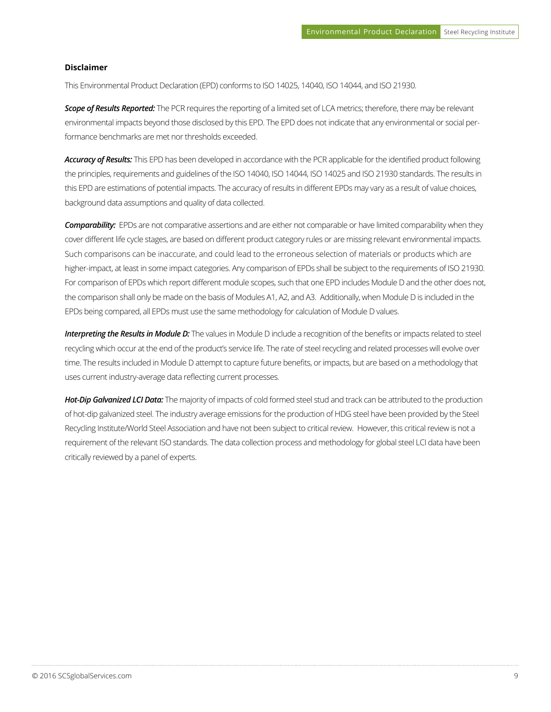#### **Disclaimer**

This Environmental Product Declaration (EPD) conforms to ISO 14025, 14040, ISO 14044, and ISO 21930.

*Scope of Results Reported:* The PCR requires the reporting of a limited set of LCA metrics; therefore, there may be relevant environmental impacts beyond those disclosed by this EPD. The EPD does not indicate that any environmental or social performance benchmarks are met nor thresholds exceeded.

*Accuracy of Results:* This EPD has been developed in accordance with the PCR applicable for the identified product following the principles, requirements and guidelines of the ISO 14040, ISO 14044, ISO 14025 and ISO 21930 standards. The results in this EPD are estimations of potential impacts. The accuracy of results in different EPDs may vary as a result of value choices, background data assumptions and quality of data collected.

*Comparability:* EPDs are not comparative assertions and are either not comparable or have limited comparability when they cover different life cycle stages, are based on different product category rules or are missing relevant environmental impacts. Such comparisons can be inaccurate, and could lead to the erroneous selection of materials or products which are higher-impact, at least in some impact categories. Any comparison of EPDs shall be subject to the requirements of ISO 21930. For comparison of EPDs which report different module scopes, such that one EPD includes Module D and the other does not, the comparison shall only be made on the basis of Modules A1, A2, and A3. Additionally, when Module D is included in the EPDs being compared, all EPDs must use the same methodology for calculation of Module D values.

**Interpreting the Results in Module D:** The values in Module D include a recognition of the benefits or impacts related to steel recycling which occur at the end of the product's service life. The rate of steel recycling and related processes will evolve over time. The results included in Module D attempt to capture future benefits, or impacts, but are based on a methodology that uses current industry-average data reflecting current processes.

*Hot-Dip Galvanized LCI Data:* The majority of impacts of cold formed steel stud and track can be attributed to the production of hot-dip galvanized steel. The industry average emissions for the production of HDG steel have been provided by the Steel Recycling Institute/World Steel Association and have not been subject to critical review. However, this critical review is not a requirement of the relevant ISO standards. The data collection process and methodology for global steel LCI data have been critically reviewed by a panel of experts.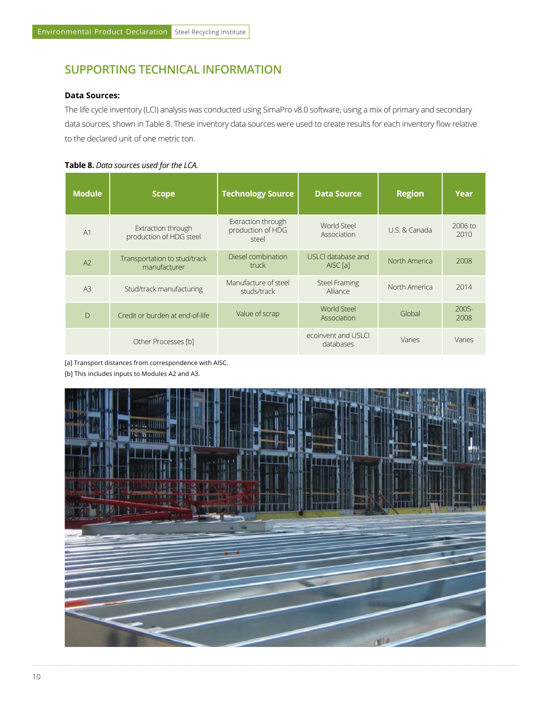# **SUPPORTING TECHNICAL INFORMATION**

#### **Data Sources:**

The life cycle inventory (LCI) analysis was conducted using SimaPro v8.0 software, using a mix of primary and secondary data sources, shown in Table 8. These inventory data sources were used to create results for each inventory flow relative to the declared unit of one metric ton.

#### **Table 8.** *Data sources used for the LCA.*

| <b>Module</b>  | <b>Scope</b>                                  | <b>Technology Source</b>                         | <b>Data Source</b>                        | <b>Region</b> | Year             |
|----------------|-----------------------------------------------|--------------------------------------------------|-------------------------------------------|---------------|------------------|
| A1             | Extraction through<br>production of HDG steel | Extraction through<br>production of HDG<br>steel | World Steel<br>Association                | U.S. & Canada | 2006 to<br>2010  |
| A <sup>2</sup> | Transportation to stud/track<br>manufacturer  | Diesel combination<br>truck                      | USLCI database and<br>AISC <sub>[a]</sub> | North America | 2008             |
| A <sup>3</sup> | Stud/track manufacturing                      | Manufacture of steel<br>studs/track              | <b>Steel Framing</b><br>Alliance          | North America | 2014             |
| $\mathsf{D}$   | Credit or burden at end-of-life               | Value of scrap                                   | <b>World Steel</b><br>Association         | Global        | $2005 -$<br>2008 |
|                | Other Processes [b]                           |                                                  | ecoinvent and USLCI<br>databases          | Varies        | Varies           |

[a] Transport distances from correspondence with AISC.

[b] This includes inputs to Modules A2 and A3.

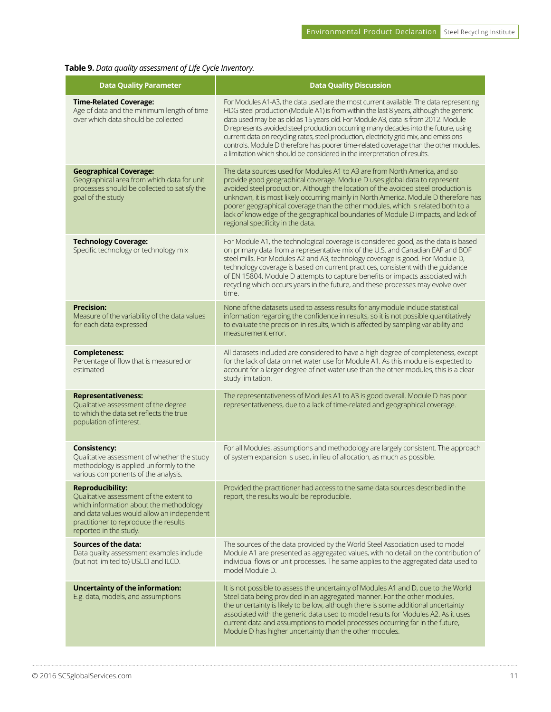### **Table 9.** *Data quality assessment of Life Cycle Inventory.*

| <b>Data Quality Parameter</b>                                                                                                                                                                                                  | <b>Data Quality Discussion</b>                                                                                                                                                                                                                                                                                                                                                                                                                                                                                                                                                                                               |
|--------------------------------------------------------------------------------------------------------------------------------------------------------------------------------------------------------------------------------|------------------------------------------------------------------------------------------------------------------------------------------------------------------------------------------------------------------------------------------------------------------------------------------------------------------------------------------------------------------------------------------------------------------------------------------------------------------------------------------------------------------------------------------------------------------------------------------------------------------------------|
| <b>Time-Related Coverage:</b><br>Age of data and the minimum length of time<br>over which data should be collected                                                                                                             | For Modules A1-A3, the data used are the most current available. The data representing<br>HDG steel production (Module A1) is from within the last 8 years, although the generic<br>data used may be as old as 15 years old. For Module A3, data is from 2012. Module<br>D represents avoided steel production occurring many decades into the future, using<br>current data on recycling rates, steel production, electricity grid mix, and emissions<br>controls. Module D therefore has poorer time-related coverage than the other modules,<br>a limitation which should be considered in the interpretation of results. |
| <b>Geographical Coverage:</b><br>Geographical area from which data for unit<br>processes should be collected to satisfy the<br>goal of the study                                                                               | The data sources used for Modules A1 to A3 are from North America, and so<br>provide good geographical coverage. Module D uses global data to represent<br>avoided steel production. Although the location of the avoided steel production is<br>unknown, it is most likely occurring mainly in North America. Module D therefore has<br>poorer geographical coverage than the other modules, which is related both to a<br>lack of knowledge of the geographical boundaries of Module D impacts, and lack of<br>regional specificity in the data.                                                                           |
| <b>Technology Coverage:</b><br>Specific technology or technology mix                                                                                                                                                           | For Module A1, the technological coverage is considered good, as the data is based<br>on primary data from a representative mix of the U.S. and Canadian EAF and BOF<br>steel mills. For Modules A2 and A3, technology coverage is good. For Module D,<br>technology coverage is based on current practices, consistent with the guidance<br>of EN 15804. Module D attempts to capture benefits or impacts associated with<br>recycling which occurs years in the future, and these processes may evolve over<br>time.                                                                                                       |
| <b>Precision:</b><br>Measure of the variability of the data values<br>for each data expressed                                                                                                                                  | None of the datasets used to assess results for any module include statistical<br>information regarding the confidence in results, so it is not possible quantitatively<br>to evaluate the precision in results, which is affected by sampling variability and<br>measurement error.                                                                                                                                                                                                                                                                                                                                         |
| <b>Completeness:</b><br>Percentage of flow that is measured or<br>estimated                                                                                                                                                    | All datasets included are considered to have a high degree of completeness, except<br>for the lack of data on net water use for Module A1. As this module is expected to<br>account for a larger degree of net water use than the other modules, this is a clear<br>study limitation.                                                                                                                                                                                                                                                                                                                                        |
| <b>Representativeness:</b><br>Qualitative assessment of the degree<br>to which the data set reflects the true<br>population of interest.                                                                                       | The representativeness of Modules A1 to A3 is good overall. Module D has poor<br>representativeness, due to a lack of time-related and geographical coverage.                                                                                                                                                                                                                                                                                                                                                                                                                                                                |
| <b>Consistency:</b><br>Qualitative assessment of whether the study<br>methodology is applied uniformly to the<br>various components of the analysis.                                                                           | For all Modules, assumptions and methodology are largely consistent. The approach<br>of system expansion is used, in lieu of allocation, as much as possible.                                                                                                                                                                                                                                                                                                                                                                                                                                                                |
| <b>Reproducibility:</b><br>Qualitative assessment of the extent to<br>which information about the methodology<br>and data values would allow an independent<br>practitioner to reproduce the results<br>reported in the study. | Provided the practitioner had access to the same data sources described in the<br>report, the results would be reproducible.                                                                                                                                                                                                                                                                                                                                                                                                                                                                                                 |
| <b>Sources of the data:</b><br>Data quality assessment examples include<br>(but not limited to) USLCI and ILCD.                                                                                                                | The sources of the data provided by the World Steel Association used to model<br>Module A1 are presented as aggregated values, with no detail on the contribution of<br>individual flows or unit processes. The same applies to the aggregated data used to<br>model Module D.                                                                                                                                                                                                                                                                                                                                               |
| Uncertainty of the information:<br>E.g. data, models, and assumptions                                                                                                                                                          | It is not possible to assess the uncertainty of Modules A1 and D, due to the World<br>Steel data being provided in an aggregated manner. For the other modules,<br>the uncertainty is likely to be low, although there is some additional uncertainty<br>associated with the generic data used to model results for Modules A2. As it uses<br>current data and assumptions to model processes occurring far in the future,<br>Module D has higher uncertainty than the other modules.                                                                                                                                        |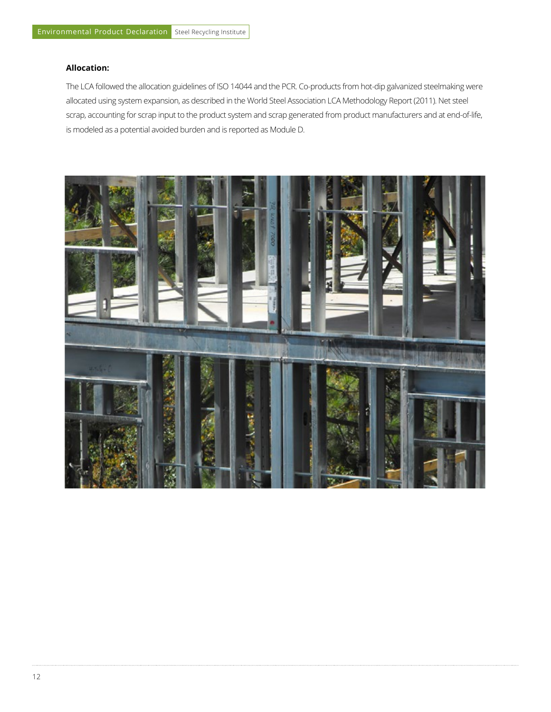#### **Allocation:**

The LCA followed the allocation guidelines of ISO 14044 and the PCR. Co-products from hot-dip galvanized steelmaking were allocated using system expansion, as described in the World Steel Association LCA Methodology Report (2011). Net steel scrap, accounting for scrap input to the product system and scrap generated from product manufacturers and at end-of-life, is modeled as a potential avoided burden and is reported as Module D.

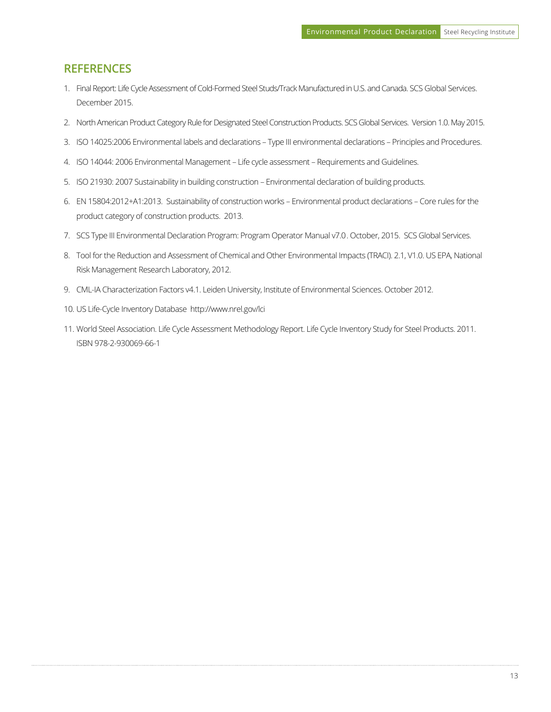## **REFERENCES**

- 1. Final Report: Life Cycle Assessment of Cold-Formed Steel Studs/Track Manufactured in U.S. and Canada. SCS Global Services. December 2015.
- 2. North American Product Category Rule for Designated Steel Construction Products. SCS Global Services. Version 1.0. May 2015.
- 3. ISO 14025:2006 Environmental labels and declarations Type III environmental declarations Principles and Procedures.
- 4. ISO 14044: 2006 Environmental Management Life cycle assessment Requirements and Guidelines.
- 5. ISO 21930: 2007 Sustainability in building construction Environmental declaration of building products.
- 6. EN 15804:2012+A1:2013. Sustainability of construction works Environmental product declarations Core rules for the product category of construction products. 2013.
- 7. SCS Type III Environmental Declaration Program: Program Operator Manual v7.0 . October, 2015. SCS Global Services.
- 8. Tool for the Reduction and Assessment of Chemical and Other Environmental Impacts (TRACI). 2.1, V1.0. US EPA, National Risk Management Research Laboratory, 2012.
- 9. CML-IA Characterization Factors v4.1. Leiden University, Institute of Environmental Sciences. October 2012.
- 10. US Life-Cycle Inventory Database http://www.nrel.gov/lci
- 11. World Steel Association. Life Cycle Assessment Methodology Report. Life Cycle Inventory Study for Steel Products. 2011. ISBN 978-2-930069-66-1